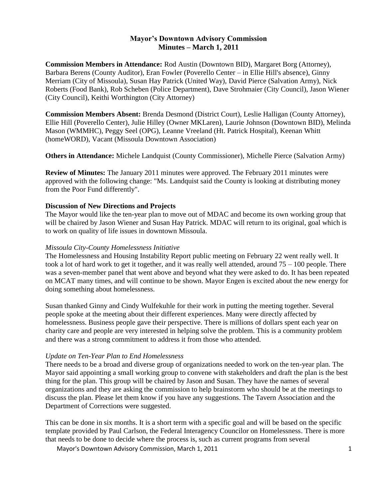# **Mayor's Downtown Advisory Commission Minutes – March 1, 2011**

**Commission Members in Attendance:** Rod Austin (Downtown BID), Margaret Borg (Attorney), Barbara Berens (County Auditor), Eran Fowler (Poverello Center – in Ellie Hill's absence), Ginny Merriam (City of Missoula), Susan Hay Patrick (United Way), David Pierce (Salvation Army), Nick Roberts (Food Bank), Rob Scheben (Police Department), Dave Strohmaier (City Council), Jason Wiener (City Council), Keithi Worthington (City Attorney)

**Commission Members Absent:** Brenda Desmond (District Court), Leslie Halligan (County Attorney), Ellie Hill (Poverello Center), Julie Hilley (Owner MKLaren), Laurie Johnson (Downtown BID), Melinda Mason (WMMHC), Peggy Seel (OPG), Leanne Vreeland (Ht. Patrick Hospital), Keenan Whitt (homeWORD), Vacant (Missoula Downtown Association)

**Others in Attendance:** Michele Landquist (County Commissioner), Michelle Pierce (Salvation Army)

**Review of Minutes:** The January 2011 minutes were approved. The February 2011 minutes were approved with the following change: "Ms. Landquist said the County is looking at distributing money from the Poor Fund differently".

## **Discussion of New Directions and Projects**

The Mayor would like the ten-year plan to move out of MDAC and become its own working group that will be chaired by Jason Wiener and Susan Hay Patrick. MDAC will return to its original, goal which is to work on quality of life issues in downtown Missoula.

## *Missoula City-County Homelessness Initiative*

The Homelessness and Housing Instability Report public meeting on February 22 went really well. It took a lot of hard work to get it together, and it was really well attended, around  $75 - 100$  people. There was a seven-member panel that went above and beyond what they were asked to do. It has been repeated on MCAT many times, and will continue to be shown. Mayor Engen is excited about the new energy for doing something about homelessness.

Susan thanked Ginny and Cindy Wulfekuhle for their work in putting the meeting together. Several people spoke at the meeting about their different experiences. Many were directly affected by homelessness. Business people gave their perspective. There is millions of dollars spent each year on charity care and people are very interested in helping solve the problem. This is a community problem and there was a strong commitment to address it from those who attended.

## *Update on Ten-Year Plan to End Homelessness*

There needs to be a broad and diverse group of organizations needed to work on the ten-year plan. The Mayor said appointing a small working group to convene with stakeholders and draft the plan is the best thing for the plan. This group will be chaired by Jason and Susan. They have the names of several organizations and they are asking the commission to help brainstorm who should be at the meetings to discuss the plan. Please let them know if you have any suggestions. The Tavern Association and the Department of Corrections were suggested.

This can be done in six months. It is a short term with a specific goal and will be based on the specific template provided by Paul Carlson, the Federal Interagency Councilor on Homelessness. There is more that needs to be done to decide where the process is, such as current programs from several

Mayor's Downtown Advisory Commission, March 1, 2011 1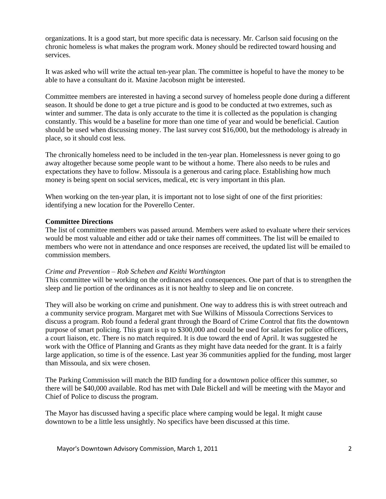organizations. It is a good start, but more specific data is necessary. Mr. Carlson said focusing on the chronic homeless is what makes the program work. Money should be redirected toward housing and services.

It was asked who will write the actual ten-year plan. The committee is hopeful to have the money to be able to have a consultant do it. Maxine Jacobson might be interested.

Committee members are interested in having a second survey of homeless people done during a different season. It should be done to get a true picture and is good to be conducted at two extremes, such as winter and summer. The data is only accurate to the time it is collected as the population is changing constantly. This would be a baseline for more than one time of year and would be beneficial. Caution should be used when discussing money. The last survey cost \$16,000, but the methodology is already in place, so it should cost less.

The chronically homeless need to be included in the ten-year plan. Homelessness is never going to go away altogether because some people want to be without a home. There also needs to be rules and expectations they have to follow. Missoula is a generous and caring place. Establishing how much money is being spent on social services, medical, etc is very important in this plan.

When working on the ten-year plan, it is important not to lose sight of one of the first priorities: identifying a new location for the Poverello Center.

## **Committee Directions**

The list of committee members was passed around. Members were asked to evaluate where their services would be most valuable and either add or take their names off committees. The list will be emailed to members who were not in attendance and once responses are received, the updated list will be emailed to commission members.

## *Crime and Prevention – Rob Scheben and Keithi Worthington*

This committee will be working on the ordinances and consequences. One part of that is to strengthen the sleep and lie portion of the ordinances as it is not healthy to sleep and lie on concrete.

They will also be working on crime and punishment. One way to address this is with street outreach and a community service program. Margaret met with Sue Wilkins of Missoula Corrections Services to discuss a program. Rob found a federal grant through the Board of Crime Control that fits the downtown purpose of smart policing. This grant is up to \$300,000 and could be used for salaries for police officers, a court liaison, etc. There is no match required. It is due toward the end of April. It was suggested he work with the Office of Planning and Grants as they might have data needed for the grant. It is a fairly large application, so time is of the essence. Last year 36 communities applied for the funding, most larger than Missoula, and six were chosen.

The Parking Commission will match the BID funding for a downtown police officer this summer, so there will be \$40,000 available. Rod has met with Dale Bickell and will be meeting with the Mayor and Chief of Police to discuss the program.

The Mayor has discussed having a specific place where camping would be legal. It might cause downtown to be a little less unsightly. No specifics have been discussed at this time.

Mayor's Downtown Advisory Commission, March 1, 2011 2